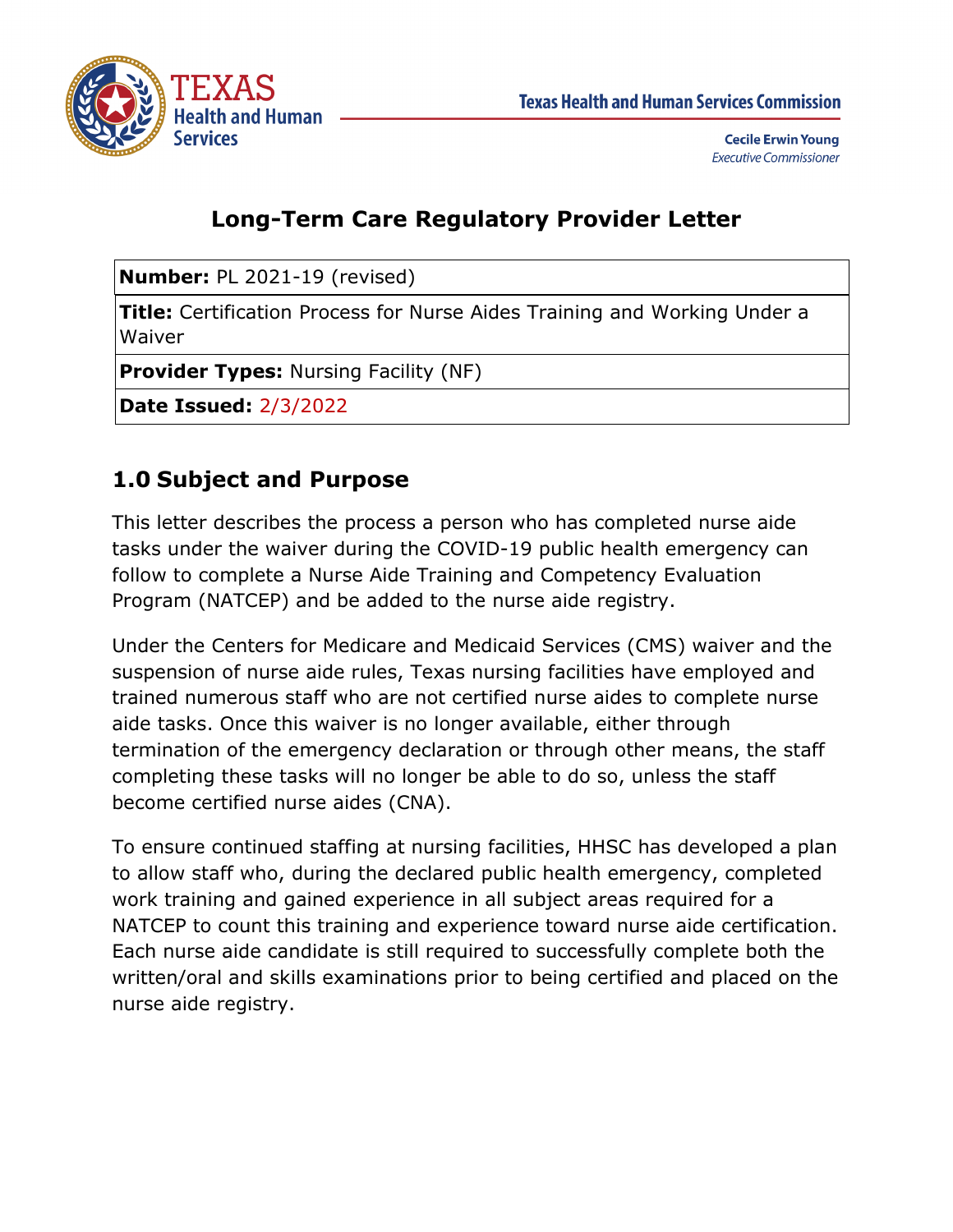

# **Long-Term Care Regulatory Provider Letter**

**Number:** PL 2021-19 (revised)

**Title:** Certification Process for Nurse Aides Training and Working Under a Waiver

**Provider Types:** Nursing Facility (NF)

**Date Issued:** 2/3/2022

# **1.0 Subject and Purpose**

This letter describes the process a person who has completed nurse aide tasks under the waiver during the COVID-19 public health emergency can follow to complete a Nurse Aide Training and Competency Evaluation Program (NATCEP) and be added to the nurse aide registry.

Under the Centers for Medicare and Medicaid Services (CMS) waiver and the suspension of nurse aide rules, Texas nursing facilities have employed and trained numerous staff who are not certified nurse aides to complete nurse aide tasks. Once this waiver is no longer available, either through termination of the emergency declaration or through other means, the staff completing these tasks will no longer be able to do so, unless the staff become certified nurse aides (CNA).

To ensure continued staffing at nursing facilities, HHSC has developed a plan to allow staff who, during the declared public health emergency, completed work training and gained experience in all subject areas required for a NATCEP to count this training and experience toward nurse aide certification. Each nurse aide candidate is still required to successfully complete both the written/oral and skills examinations prior to being certified and placed on the nurse aide registry.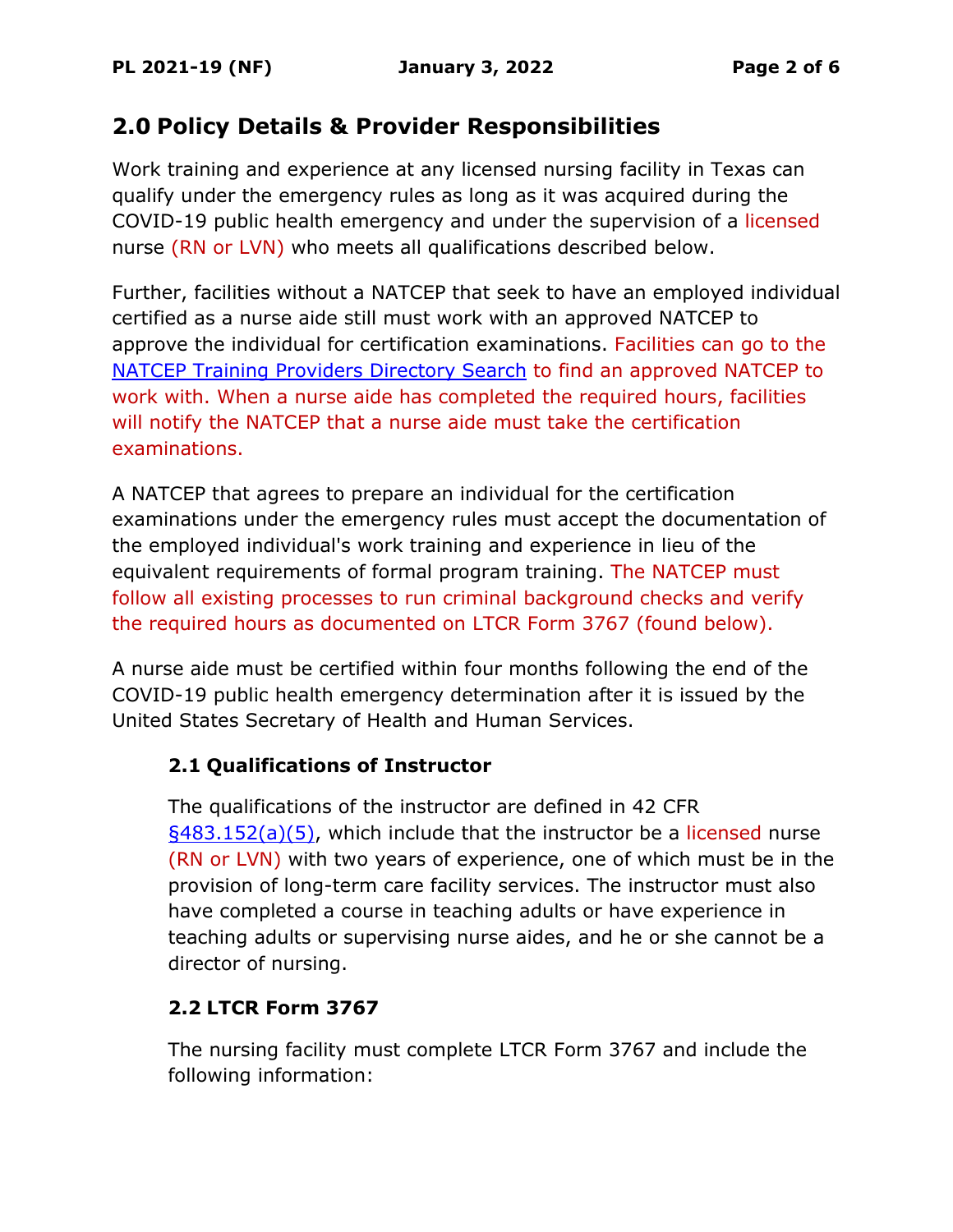# **2.0 Policy Details & Provider Responsibilities**

Work training and experience at any licensed nursing facility in Texas can qualify under the emergency rules as long as it was acquired during the COVID-19 public health emergency and under the supervision of a licensed nurse (RN or LVN) who meets all qualifications described below.

Further, facilities without a NATCEP that seek to have an employed individual certified as a nurse aide still must work with an approved NATCEP to approve the individual for certification examinations. Facilities can go to the [NATCEP Training Providers Directory Search](https://apps.hhs.texas.gov/providers/nf/credentialing/natcep/credtraining.cfm) to find an approved NATCEP to work with. When a nurse aide has completed the required hours, facilities will notify the NATCEP that a nurse aide must take the certification examinations.

A NATCEP that agrees to prepare an individual for the certification examinations under the emergency rules must accept the documentation of the employed individual's work training and experience in lieu of the equivalent requirements of formal program training. The NATCEP must follow all existing processes to run criminal background checks and verify the required hours as documented on LTCR Form 3767 (found below).

A nurse aide must be certified within four months following the end of the COVID-19 public health emergency determination after it is issued by the United States Secretary of Health and Human Services.

#### **2.1 Qualifications of Instructor**

The qualifications of the instructor are defined in 42 CFR  $\S$ 483.152(a)(5), which include that the instructor be a licensed nurse (RN or LVN) with two years of experience, one of which must be in the provision of long-term care facility services. The instructor must also have completed a course in teaching adults or have experience in teaching adults or supervising nurse aides, and he or she cannot be a director of nursing.

## **2.2 LTCR Form 3767**

The nursing facility must complete LTCR Form 3767 and include the following information: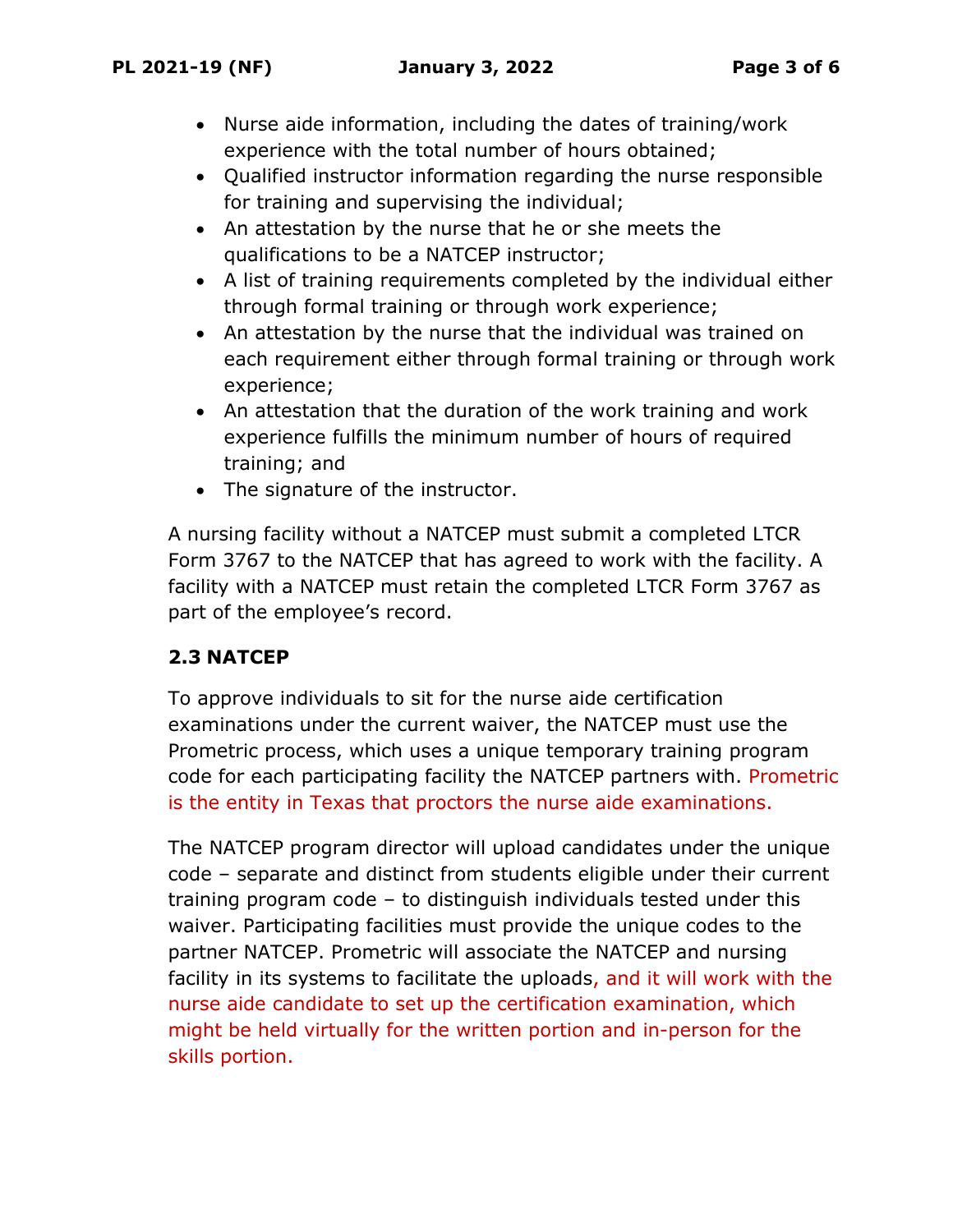- Nurse aide information, including the dates of training/work experience with the total number of hours obtained;
- Qualified instructor information regarding the nurse responsible for training and supervising the individual;
- An attestation by the nurse that he or she meets the qualifications to be a NATCEP instructor;
- A list of training requirements completed by the individual either through formal training or through work experience;
- An attestation by the nurse that the individual was trained on each requirement either through formal training or through work experience;
- An attestation that the duration of the work training and work experience fulfills the minimum number of hours of required training; and
- The signature of the instructor.

A nursing facility without a NATCEP must submit a completed LTCR Form 3767 to the NATCEP that has agreed to work with the facility. A facility with a NATCEP must retain the completed LTCR Form 3767 as part of the employee's record.

## **2.3 NATCEP**

To approve individuals to sit for the nurse aide certification examinations under the current waiver, the NATCEP must use the Prometric process, which uses a unique temporary training program code for each participating facility the NATCEP partners with. Prometric is the entity in Texas that proctors the nurse aide examinations.

The NATCEP program director will upload candidates under the unique code – separate and distinct from students eligible under their current training program code – to distinguish individuals tested under this waiver. Participating facilities must provide the unique codes to the partner NATCEP. Prometric will associate the NATCEP and nursing facility in its systems to facilitate the uploads, and it will work with the nurse aide candidate to set up the certification examination, which might be held virtually for the written portion and in-person for the skills portion.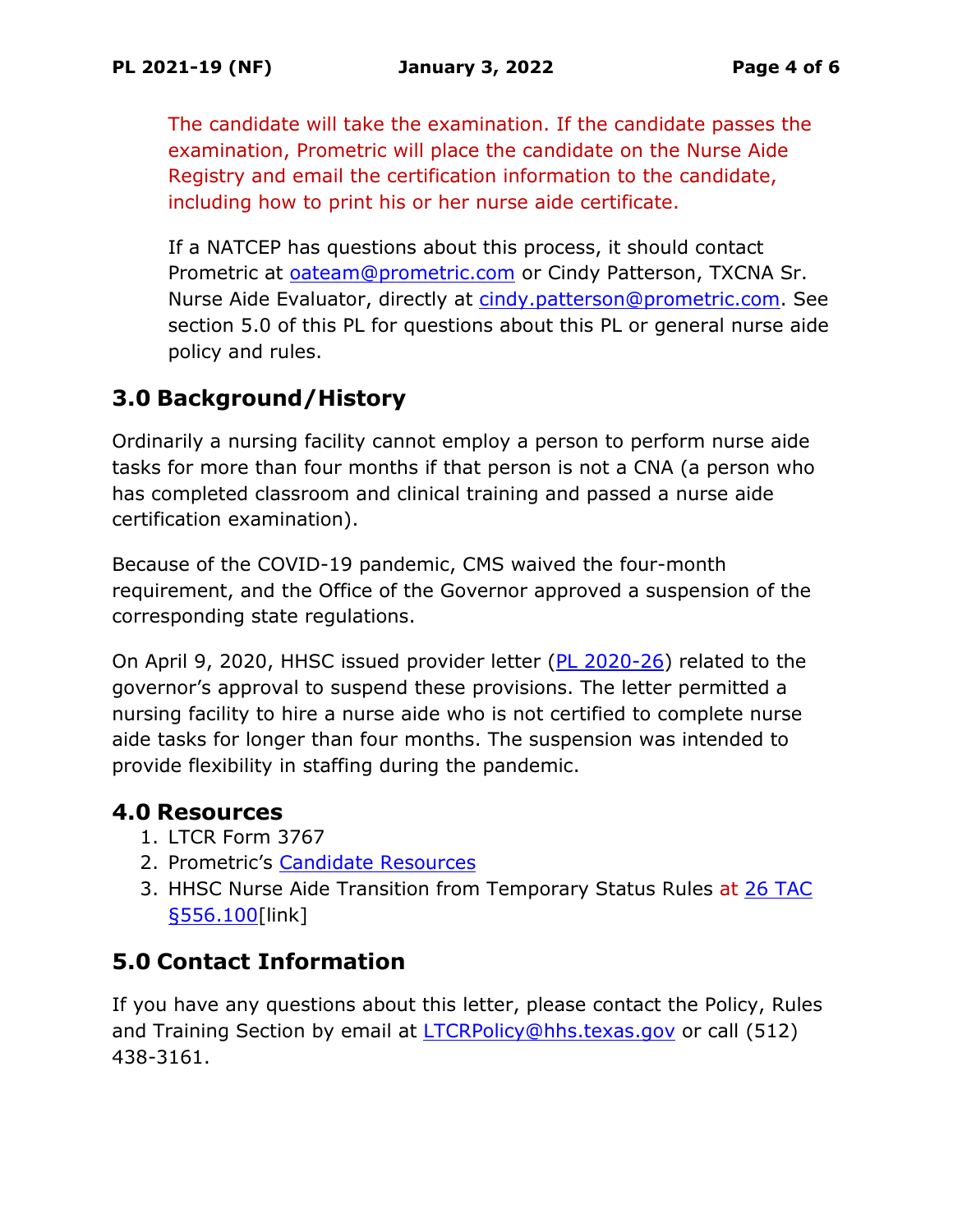The candidate will take the examination. If the candidate passes the examination, Prometric will place the candidate on the Nurse Aide Registry and email the certification information to the candidate, including how to print his or her nurse aide certificate.

If a NATCEP has questions about this process, it should contact Prometric at [oateam@prometric.com](mailto:oateam@prometric.com) or Cindy Patterson, TXCNA Sr. Nurse Aide Evaluator, directly at [cindy.patterson@prometric.com.](mailto:cindy.patterson@prometric.com) See section 5.0 of this PL for questions about this PL or general nurse aide policy and rules.

# **3.0 Background/History**

Ordinarily a nursing facility cannot employ a person to perform nurse aide tasks for more than four months if that person is not a CNA (a person who has completed classroom and clinical training and passed a nurse aide certification examination).

Because of the COVID-19 pandemic, CMS waived the four-month requirement, and the Office of the Governor approved a suspension of the corresponding state regulations.

On April 9, 2020, HHSC issued provider letter (PL 2020-26) related to the governor's approval to suspend these provisions. The letter permitted a nursing facility to hire a nurse aide who is not certified to complete nurse aide tasks for longer than four months. The suspension was intended to provide flexibility in staffing during the pandemic.

## **4.0 Resources**

- 1. LTCR Form 3767
- 2. Prometric's [Candidate Resources](https://www.prometric.com/nurseaide/tx)
- 3. HHSC Nurse Aide Transition from Temporary Status Rules at 26 TAC [§556.100\[](https://texreg.sos.state.tx.us/public/readtac$ext.TacPage?sl=R&app=9&p_dir=&p_rloc=&p_tloc=&p_ploc=&pg=1&p_tac=&ti=26&pt=1&ch=556&rl=100)link]

## **5.0 Contact Information**

If you have any questions about this letter, please contact the Policy, Rules and Training Section by email at [LTCRPolicy@hhs.texas.gov](mailto:LTCRPolicy@hhs.texas.gov) or call (512) 438-3161.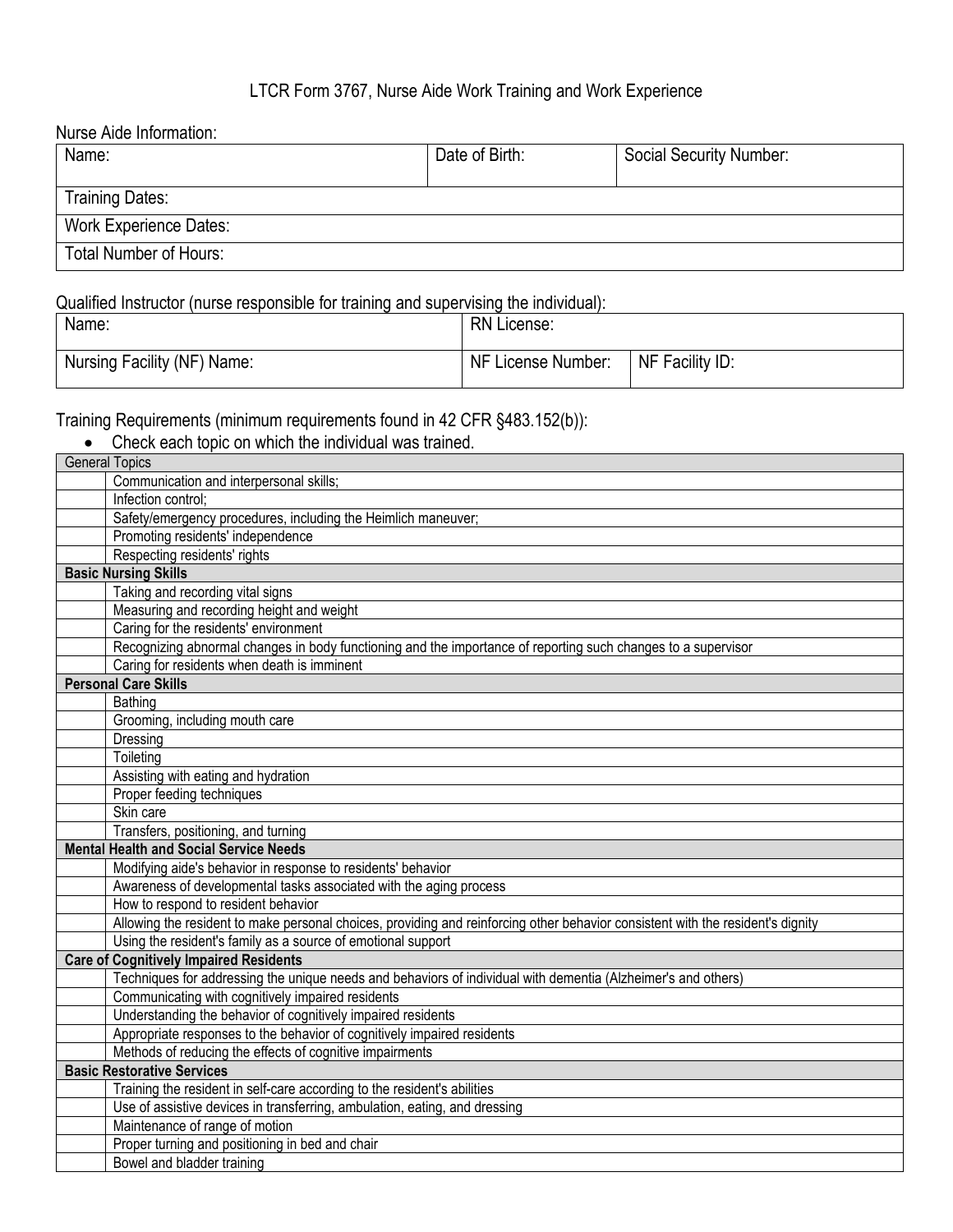#### LTCR Form 3767, Nurse Aide Work Training and Work Experience

Nurse Aide Information:

| Name:                         | Date of Birth: | Social Security Number: |
|-------------------------------|----------------|-------------------------|
| <b>Training Dates:</b>        |                |                         |
| <b>Work Experience Dates:</b> |                |                         |
| <b>Total Number of Hours:</b> |                |                         |

#### Qualified Instructor (nurse responsible for training and supervising the individual):

| Name:                       | <b>RN License:</b> |                 |
|-----------------------------|--------------------|-----------------|
| Nursing Facility (NF) Name: | NF License Number: | NF Facility ID: |

Training Requirements (minimum requirements found in 42 CFR §483.152(b)):

| raining Requirements (minimum requirements found in 42 CFR §483.152(b)):                                                        |
|---------------------------------------------------------------------------------------------------------------------------------|
| Check each topic on which the individual was trained.                                                                           |
| <b>General Topics</b>                                                                                                           |
| Communication and interpersonal skills;                                                                                         |
| Infection control;                                                                                                              |
| Safety/emergency procedures, including the Heimlich maneuver;                                                                   |
| Promoting residents' independence                                                                                               |
| Respecting residents' rights                                                                                                    |
| <b>Basic Nursing Skills</b>                                                                                                     |
| Taking and recording vital signs                                                                                                |
| Measuring and recording height and weight                                                                                       |
| Caring for the residents' environment                                                                                           |
| Recognizing abnormal changes in body functioning and the importance of reporting such changes to a supervisor                   |
| Caring for residents when death is imminent                                                                                     |
| <b>Personal Care Skills</b>                                                                                                     |
| Bathing                                                                                                                         |
| Grooming, including mouth care                                                                                                  |
| Dressing                                                                                                                        |
| Toileting                                                                                                                       |
| Assisting with eating and hydration                                                                                             |
| Proper feeding techniques                                                                                                       |
| Skin care                                                                                                                       |
| Transfers, positioning, and turning                                                                                             |
| <b>Mental Health and Social Service Needs</b>                                                                                   |
| Modifying aide's behavior in response to residents' behavior                                                                    |
| Awareness of developmental tasks associated with the aging process                                                              |
| How to respond to resident behavior                                                                                             |
| Allowing the resident to make personal choices, providing and reinforcing other behavior consistent with the resident's dignity |
| Using the resident's family as a source of emotional support                                                                    |
| <b>Care of Cognitively Impaired Residents</b>                                                                                   |
| Techniques for addressing the unique needs and behaviors of individual with dementia (Alzheimer's and others)                   |
| Communicating with cognitively impaired residents                                                                               |
| Understanding the behavior of cognitively impaired residents                                                                    |
| Appropriate responses to the behavior of cognitively impaired residents                                                         |
| Methods of reducing the effects of cognitive impairments                                                                        |
| <b>Basic Restorative Services</b>                                                                                               |
| Training the resident in self-care according to the resident's abilities                                                        |
| Use of assistive devices in transferring, ambulation, eating, and dressing                                                      |
| Maintenance of range of motion                                                                                                  |
| Proper turning and positioning in bed and chair                                                                                 |
| Bowel and bladder training                                                                                                      |